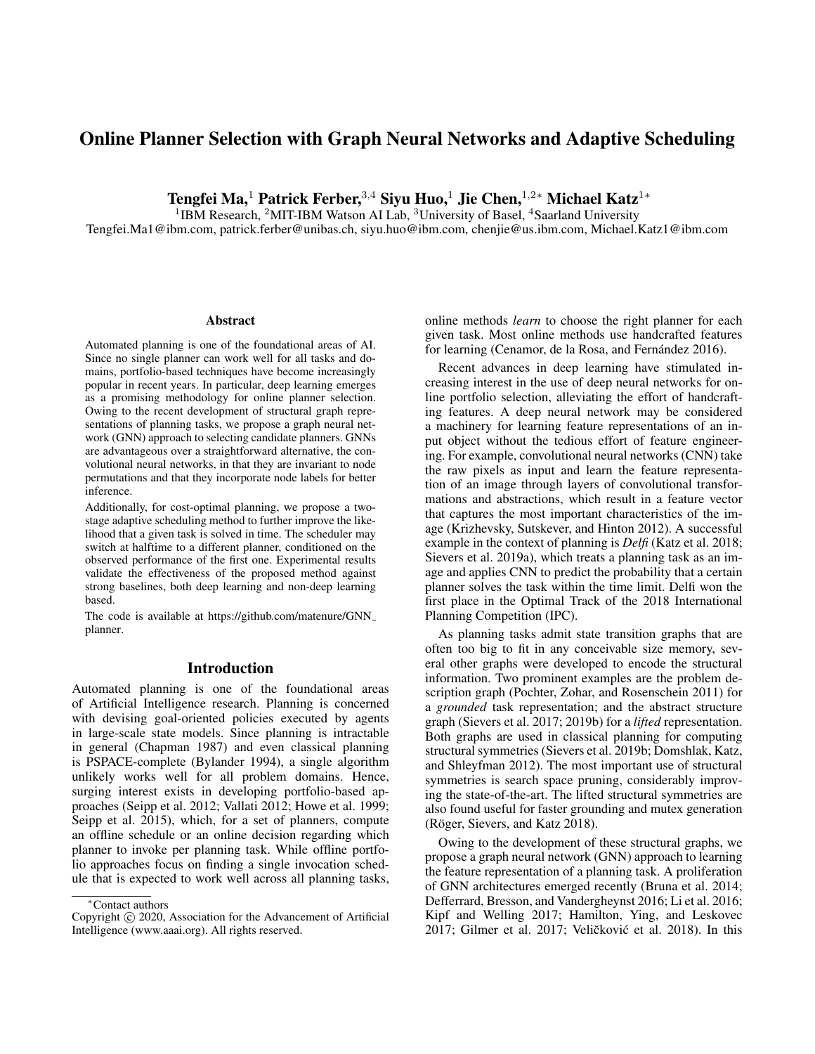# Online Planner Selection with Graph Neural Networks and Adaptive Scheduling

Tengfei Ma,<sup>1</sup> Patrick Ferber,<sup>3,4</sup> Sivu Huo,<sup>1</sup> Jie Chen,<sup>1,2</sup>\* Michael Katz<sup>1</sup>\*

<sup>1</sup>IBM Research, <sup>2</sup>MIT-IBM Watson AI Lab, <sup>3</sup>University of Basel, <sup>4</sup>Saarland University

Tengfei.Ma1@ibm.com, patrick.ferber@unibas.ch, siyu.huo@ibm.com, chenjie@us.ibm.com, Michael.Katz1@ibm.com

#### **Abstract**

Automated planning is one of the foundational areas of AI. Since no single planner can work well for all tasks and domains, portfolio-based techniques have become increasingly popular in recent years. In particular, deep learning emerges as a promising methodology for online planner selection. Owing to the recent development of structural graph representations of planning tasks, we propose a graph neural network (GNN) approach to selecting candidate planners. GNNs are advantageous over a straightforward alternative, the convolutional neural networks, in that they are invariant to node permutations and that they incorporate node labels for better inference.

Additionally, for cost-optimal planning, we propose a twostage adaptive scheduling method to further improve the likelihood that a given task is solved in time. The scheduler may switch at halftime to a different planner, conditioned on the observed performance of the first one. Experimental results validate the effectiveness of the proposed method against strong baselines, both deep learning and non-deep learning based.

The code is available at https://github.com/matenure/GNN planner.

# Introduction

Automated planning is one of the foundational areas of Artificial Intelligence research. Planning is concerned with devising goal-oriented policies executed by agents in large-scale state models. Since planning is intractable in general (Chapman 1987) and even classical planning is PSPACE-complete (Bylander 1994), a single algorithm unlikely works well for all problem domains. Hence, surging interest exists in developing portfolio-based approaches (Seipp et al. 2012; Vallati 2012; Howe et al. 1999; Seipp et al. 2015), which, for a set of planners, compute an offline schedule or an online decision regarding which planner to invoke per planning task. While offline portfolio approaches focus on finding a single invocation schedule that is expected to work well across all planning tasks, online methods *learn* to choose the right planner for each given task. Most online methods use handcrafted features for learning (Cenamor, de la Rosa, and Fernández 2016).

Recent advances in deep learning have stimulated increasing interest in the use of deep neural networks for online portfolio selection, alleviating the effort of handcrafting features. A deep neural network may be considered a machinery for learning feature representations of an input object without the tedious effort of feature engineering. For example, convolutional neural networks (CNN) take the raw pixels as input and learn the feature representation of an image through layers of convolutional transformations and abstractions, which result in a feature vector that captures the most important characteristics of the image (Krizhevsky, Sutskever, and Hinton 2012). A successful example in the context of planning is *Delfi* (Katz et al. 2018; Sievers et al. 2019a), which treats a planning task as an image and applies CNN to predict the probability that a certain planner solves the task within the time limit. Delfi won the first place in the Optimal Track of the 2018 International Planning Competition (IPC).

As planning tasks admit state transition graphs that are often too big to fit in any conceivable size memory, several other graphs were developed to encode the structural information. Two prominent examples are the problem description graph (Pochter, Zohar, and Rosenschein 2011) for a *grounded* task representation; and the abstract structure graph (Sievers et al. 2017; 2019b) for a *lifted* representation. Both graphs are used in classical planning for computing structural symmetries (Sievers et al. 2019b; Domshlak, Katz, and Shleyfman 2012). The most important use of structural symmetries is search space pruning, considerably improving the state-of-the-art. The lifted structural symmetries are also found useful for faster grounding and mutex generation (Röger, Sievers, and Katz 2018).

Owing to the development of these structural graphs, we propose a graph neural network (GNN) approach to learning the feature representation of a planning task. A proliferation of GNN architectures emerged recently (Bruna et al. 2014; Defferrard, Bresson, and Vandergheynst 2016; Li et al. 2016; Kipf and Welling 2017; Hamilton, Ying, and Leskovec 2017; Gilmer et al. 2017; Veličković et al. 2018). In this

<sup>∗</sup>Contact authors

Copyright © 2020, Association for the Advancement of Artificial Intelligence (www.aaai.org). All rights reserved.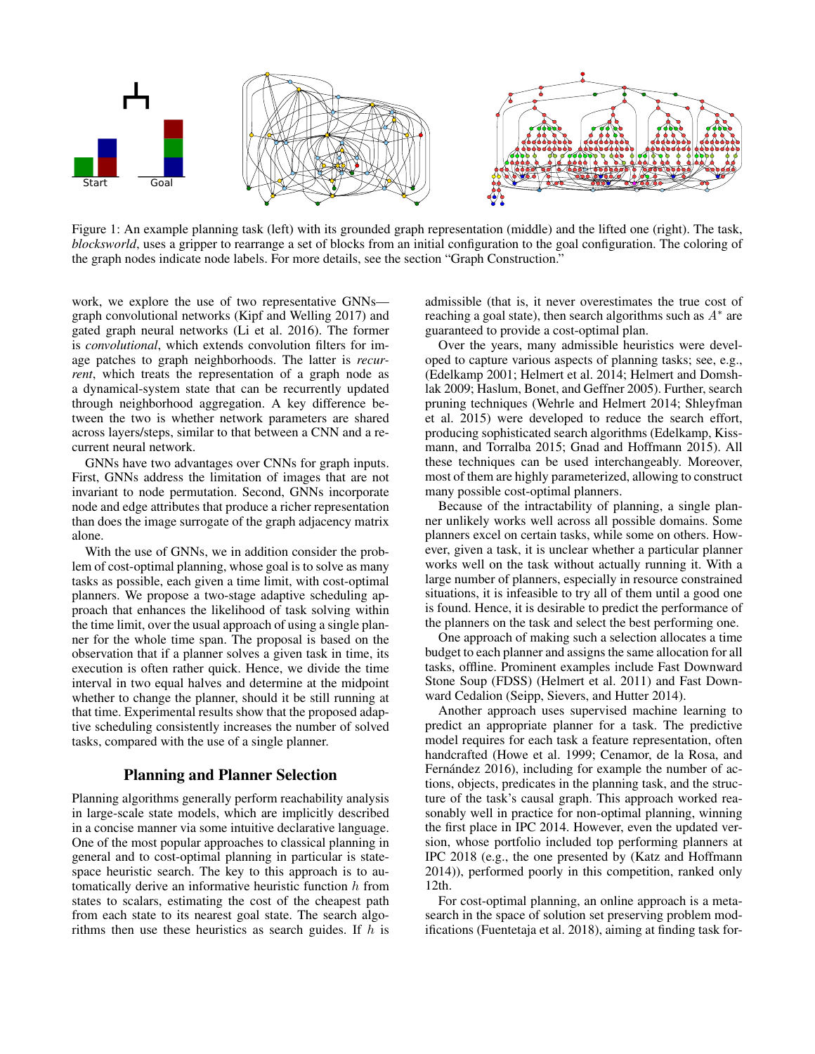

Figure 1: An example planning task (left) with its grounded graph representation (middle) and the lifted one (right). The task, *blocksworld*, uses a gripper to rearrange a set of blocks from an initial configuration to the goal configuration. The coloring of the graph nodes indicate node labels. For more details, see the section "Graph Construction."

work, we explore the use of two representative GNNs graph convolutional networks (Kipf and Welling 2017) and gated graph neural networks (Li et al. 2016). The former is *convolutional*, which extends convolution filters for image patches to graph neighborhoods. The latter is *recurrent*, which treats the representation of a graph node as a dynamical-system state that can be recurrently updated through neighborhood aggregation. A key difference between the two is whether network parameters are shared across layers/steps, similar to that between a CNN and a recurrent neural network.

GNNs have two advantages over CNNs for graph inputs. First, GNNs address the limitation of images that are not invariant to node permutation. Second, GNNs incorporate node and edge attributes that produce a richer representation than does the image surrogate of the graph adjacency matrix alone.

With the use of GNNs, we in addition consider the problem of cost-optimal planning, whose goal is to solve as many tasks as possible, each given a time limit, with cost-optimal planners. We propose a two-stage adaptive scheduling approach that enhances the likelihood of task solving within the time limit, over the usual approach of using a single planner for the whole time span. The proposal is based on the observation that if a planner solves a given task in time, its execution is often rather quick. Hence, we divide the time interval in two equal halves and determine at the midpoint whether to change the planner, should it be still running at that time. Experimental results show that the proposed adaptive scheduling consistently increases the number of solved tasks, compared with the use of a single planner.

# Planning and Planner Selection

Planning algorithms generally perform reachability analysis in large-scale state models, which are implicitly described in a concise manner via some intuitive declarative language. One of the most popular approaches to classical planning in general and to cost-optimal planning in particular is statespace heuristic search. The key to this approach is to automatically derive an informative heuristic function  $h$  from states to scalars, estimating the cost of the cheapest path from each state to its nearest goal state. The search algorithms then use these heuristics as search guides. If  $h$  is

admissible (that is, it never overestimates the true cost of reaching a goal state), then search algorithms such as  $A^*$  are guaranteed to provide a cost-optimal plan.

Over the years, many admissible heuristics were developed to capture various aspects of planning tasks; see, e.g., (Edelkamp 2001; Helmert et al. 2014; Helmert and Domshlak 2009; Haslum, Bonet, and Geffner 2005). Further, search pruning techniques (Wehrle and Helmert 2014; Shleyfman et al. 2015) were developed to reduce the search effort, producing sophisticated search algorithms (Edelkamp, Kissmann, and Torralba 2015; Gnad and Hoffmann 2015). All these techniques can be used interchangeably. Moreover, most of them are highly parameterized, allowing to construct many possible cost-optimal planners.

Because of the intractability of planning, a single planner unlikely works well across all possible domains. Some planners excel on certain tasks, while some on others. However, given a task, it is unclear whether a particular planner works well on the task without actually running it. With a large number of planners, especially in resource constrained situations, it is infeasible to try all of them until a good one is found. Hence, it is desirable to predict the performance of the planners on the task and select the best performing one.

One approach of making such a selection allocates a time budget to each planner and assigns the same allocation for all tasks, offline. Prominent examples include Fast Downward Stone Soup (FDSS) (Helmert et al. 2011) and Fast Downward Cedalion (Seipp, Sievers, and Hutter 2014).

Another approach uses supervised machine learning to predict an appropriate planner for a task. The predictive model requires for each task a feature representation, often handcrafted (Howe et al. 1999; Cenamor, de la Rosa, and Fernández 2016), including for example the number of actions, objects, predicates in the planning task, and the structure of the task's causal graph. This approach worked reasonably well in practice for non-optimal planning, winning the first place in IPC 2014. However, even the updated version, whose portfolio included top performing planners at IPC 2018 (e.g., the one presented by (Katz and Hoffmann 2014)), performed poorly in this competition, ranked only 12th.

For cost-optimal planning, an online approach is a metasearch in the space of solution set preserving problem modifications (Fuentetaja et al. 2018), aiming at finding task for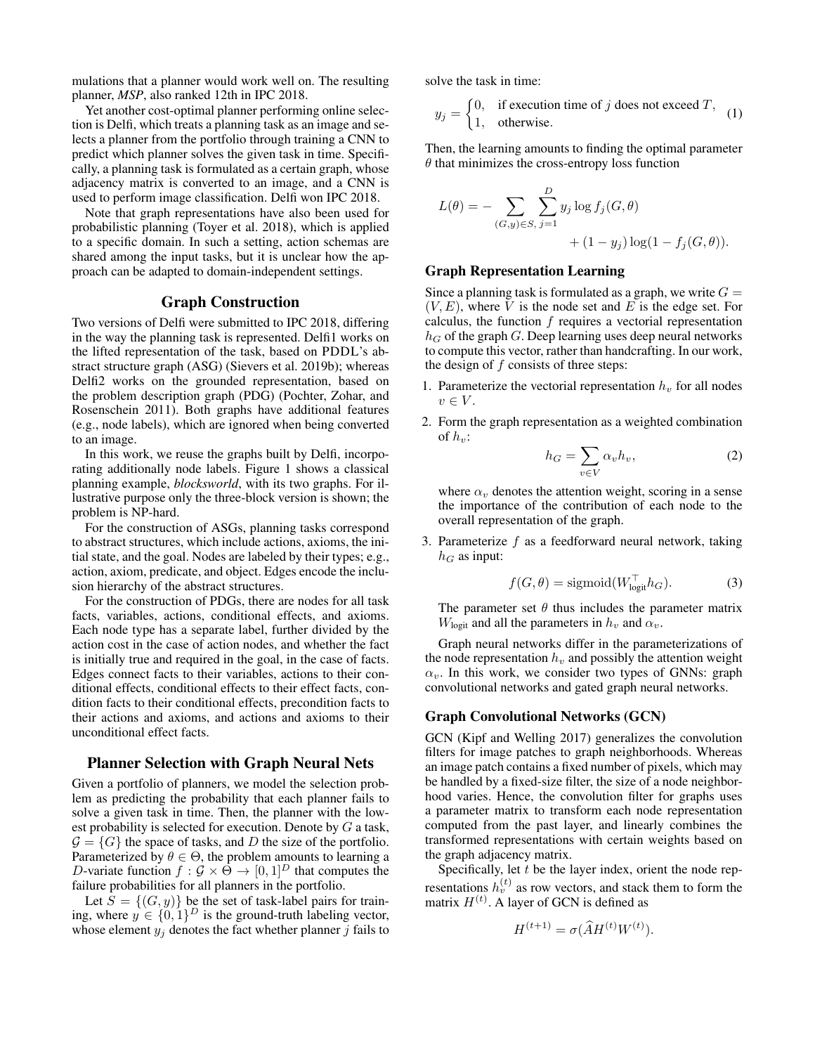mulations that a planner would work well on. The resulting planner, *MSP*, also ranked 12th in IPC 2018.

Yet another cost-optimal planner performing online selection is Delfi, which treats a planning task as an image and selects a planner from the portfolio through training a CNN to predict which planner solves the given task in time. Specifically, a planning task is formulated as a certain graph, whose adjacency matrix is converted to an image, and a CNN is used to perform image classification. Delfi won IPC 2018.

Note that graph representations have also been used for probabilistic planning (Toyer et al. 2018), which is applied to a specific domain. In such a setting, action schemas are shared among the input tasks, but it is unclear how the approach can be adapted to domain-independent settings.

# Graph Construction

Two versions of Delfi were submitted to IPC 2018, differing in the way the planning task is represented. Delfi1 works on the lifted representation of the task, based on PDDL's abstract structure graph (ASG) (Sievers et al. 2019b); whereas Delfi2 works on the grounded representation, based on the problem description graph (PDG) (Pochter, Zohar, and Rosenschein 2011). Both graphs have additional features (e.g., node labels), which are ignored when being converted to an image.

In this work, we reuse the graphs built by Delfi, incorporating additionally node labels. Figure 1 shows a classical planning example, *blocksworld*, with its two graphs. For illustrative purpose only the three-block version is shown; the problem is NP-hard.

For the construction of ASGs, planning tasks correspond to abstract structures, which include actions, axioms, the initial state, and the goal. Nodes are labeled by their types; e.g., action, axiom, predicate, and object. Edges encode the inclusion hierarchy of the abstract structures.

For the construction of PDGs, there are nodes for all task facts, variables, actions, conditional effects, and axioms. Each node type has a separate label, further divided by the action cost in the case of action nodes, and whether the fact is initially true and required in the goal, in the case of facts. Edges connect facts to their variables, actions to their conditional effects, conditional effects to their effect facts, condition facts to their conditional effects, precondition facts to their actions and axioms, and actions and axioms to their unconditional effect facts.

# Planner Selection with Graph Neural Nets

Given a portfolio of planners, we model the selection problem as predicting the probability that each planner fails to solve a given task in time. Then, the planner with the lowest probability is selected for execution. Denote by  $G$  a task,  $\mathcal{G} = \{G\}$  the space of tasks, and D the size of the portfolio. Parameterized by  $\theta \in \Theta$ , the problem amounts to learning a D-variate function  $f : \mathcal{G} \times \Theta \to [0, 1]^D$  that computes the failure probabilities for all planners in the portfolio.

Let  $S = \{(G, y)\}\$ be the set of task-label pairs for training, where  $y \in \{0,1\}^D$  is the ground-truth labeling vector, whose element  $y_i$  denotes the fact whether planner j fails to solve the task in time:

$$
y_j = \begin{cases} 0, & \text{if execution time of } j \text{ does not exceed } T, \\ 1, & \text{otherwise.} \end{cases}
$$
 (1)

Then, the learning amounts to finding the optimal parameter  $\theta$  that minimizes the cross-entropy loss function

$$
L(\theta) = -\sum_{(G,y)\in S, j=1} \sum_{j=1}^{D} y_j \log f_j(G, \theta) + (1 - y_j) \log(1 - f_j(G, \theta)).
$$

#### Graph Representation Learning

Since a planning task is formulated as a graph, we write  $G =$  $(V, E)$ , where V is the node set and E is the edge set. For calculus, the function  $f$  requires a vectorial representation  $h_G$  of the graph G. Deep learning uses deep neural networks to compute this vector, rather than handcrafting. In our work, the design of  $f$  consists of three steps:

- 1. Parameterize the vectorial representation  $h<sub>v</sub>$  for all nodes  $v \in V$ .
- 2. Form the graph representation as a weighted combination of  $h_n$ :

$$
h_G = \sum_{v \in V} \alpha_v h_v,\tag{2}
$$

where  $\alpha_v$  denotes the attention weight, scoring in a sense the importance of the contribution of each node to the overall representation of the graph.

3. Parameterize  $f$  as a feedforward neural network, taking  $h_G$  as input:

$$
f(G, \theta) = \text{sigmoid}(W_{\text{logit}}^{\top} h_G). \tag{3}
$$

The parameter set  $\theta$  thus includes the parameter matrix  $W_{\text{logit}}$  and all the parameters in  $h_v$  and  $\alpha_v$ .

Graph neural networks differ in the parameterizations of the node representation  $h<sub>v</sub>$  and possibly the attention weight  $\alpha_v$ . In this work, we consider two types of GNNs: graph convolutional networks and gated graph neural networks.

# Graph Convolutional Networks (GCN)

GCN (Kipf and Welling 2017) generalizes the convolution filters for image patches to graph neighborhoods. Whereas an image patch contains a fixed number of pixels, which may be handled by a fixed-size filter, the size of a node neighborhood varies. Hence, the convolution filter for graphs uses a parameter matrix to transform each node representation computed from the past layer, and linearly combines the transformed representations with certain weights based on the graph adjacency matrix.

Specifically, let  $t$  be the layer index, orient the node representations  $h_v^{(t)}$  as row vectors, and stack them to form the matrix  $H^{(t)}$ . A layer of GCN is defined as

$$
H^{(t+1)} = \sigma(\widehat{A}H^{(t)}W^{(t)}).
$$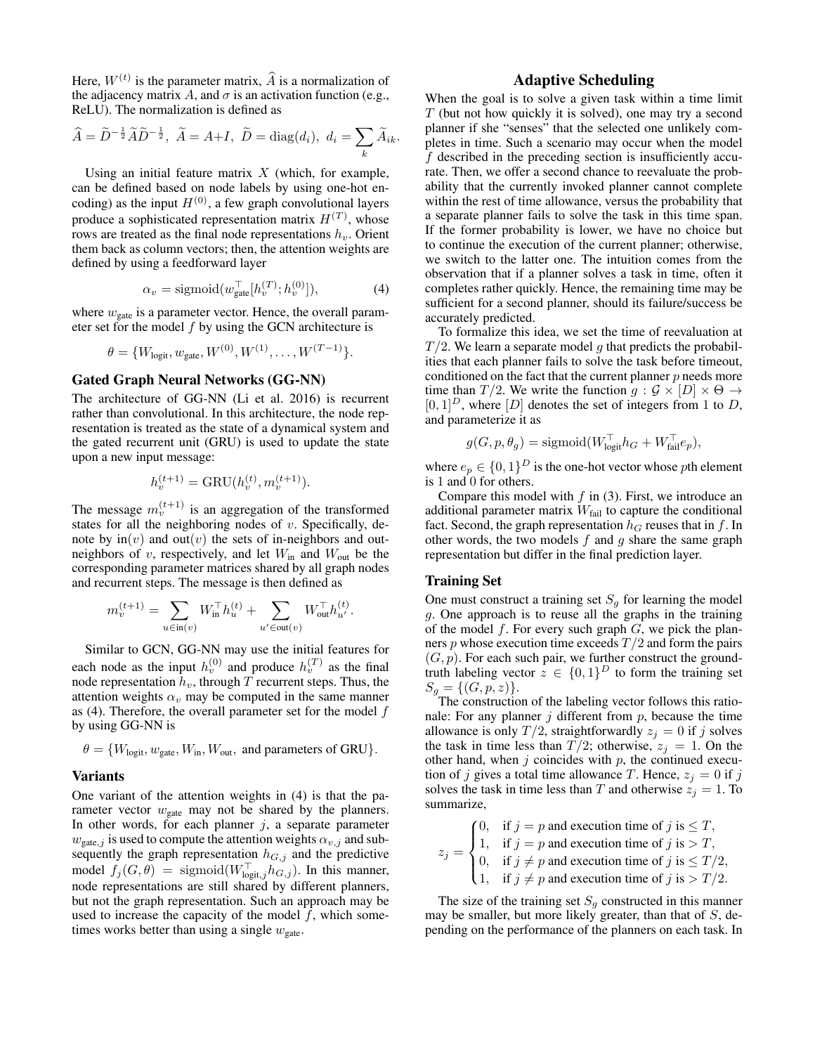Here,  $W^{(t)}$  is the parameter matrix,  $\hat{A}$  is a normalization of the adjacency matrix A, and  $\sigma$  is an activation function (e.g., ReLU). The normalization is defined as

$$
\widehat{A} = \widetilde{D}^{-\frac{1}{2}} \widetilde{A} \widetilde{D}^{-\frac{1}{2}}, \ \widetilde{A} = A + I, \ \widetilde{D} = \text{diag}(d_i), \ d_i = \sum_k \widetilde{A}_{ik}.
$$

Using an initial feature matrix  $X$  (which, for example, can be defined based on node labels by using one-hot encoding) as the input  $H^{(0)}$ , a few graph convolutional layers produce a sophisticated representation matrix  $H^{(T)}$ , whose rows are treated as the final node representations  $h_v$ . Orient them back as column vectors; then, the attention weights are defined by using a feedforward layer

$$
\alpha_v = \text{sigmoid}(w_{\text{gate}}^\top[h_v^{(T)}; h_v^{(0)}]),\tag{4}
$$

where  $w_{\text{gate}}$  is a parameter vector. Hence, the overall parameter set for the model  $f$  by using the GCN architecture is

$$
\theta = \{W_{\text{logit}}, w_{\text{gate}}, W^{(0)}, W^{(1)}, \dots, W^{(T-1)}\}.
$$

# Gated Graph Neural Networks (GG-NN)

The architecture of GG-NN (Li et al. 2016) is recurrent rather than convolutional. In this architecture, the node representation is treated as the state of a dynamical system and the gated recurrent unit (GRU) is used to update the state upon a new input message:

$$
h_v^{(t+1)} = \text{GRU}(h_v^{(t)}, m_v^{(t+1)}).
$$

The message  $m_v^{(t+1)}$  is an aggregation of the transformed states for all the neighboring nodes of  $v$ . Specifically, denote by  $\text{in}(v)$  and  $\text{out}(v)$  the sets of in-neighbors and outneighbors of v, respectively, and let  $W_{\text{in}}$  and  $W_{\text{out}}$  be the corresponding parameter matrices shared by all graph nodes and recurrent steps. The message is then defined as

$$
m_v^{(t+1)} = \sum_{u \in \text{in}(v)} W_{\text{in}}^{\top} h_u^{(t)} + \sum_{u' \in \text{out}(v)} W_{\text{out}}^{\top} h_{u'}^{(t)}.
$$

Similar to GCN, GG-NN may use the initial features for each node as the input  $h_v^{(0)}$  and produce  $h_v^{(T)}$  as the final node representation  $\hat{h}_v$ , through  $\hat{T}$  recurrent steps. Thus, the attention weights  $\alpha_v$  may be computed in the same manner as  $(4)$ . Therefore, the overall parameter set for the model f by using GG-NN is

$$
\theta = \{W_{\text{logit}}, w_{\text{gate}}, W_{\text{in}}, W_{\text{out}}, \text{ and parameters of GRU}\}.
$$

### Variants

One variant of the attention weights in (4) is that the parameter vector  $w_{\text{gate}}$  may not be shared by the planners. In other words, for each planner  $j$ , a separate parameter  $w_{\text{gate},j}$  is used to compute the attention weights  $\alpha_{v,j}$  and subsequently the graph representation  $h_{G,j}$  and the predictive model  $f_j(G, \theta) = \text{sigmoid}(W_{\text{logit},j}^{\top} h_{G,j})$ . In this manner, node representations are still shared by different planners, but not the graph representation. Such an approach may be used to increase the capacity of the model  $f$ , which sometimes works better than using a single  $w_{\text{gate}}$ .

# Adaptive Scheduling

When the goal is to solve a given task within a time limit  $T$  (but not how quickly it is solved), one may try a second planner if she "senses" that the selected one unlikely completes in time. Such a scenario may occur when the model f described in the preceding section is insufficiently accurate. Then, we offer a second chance to reevaluate the probability that the currently invoked planner cannot complete within the rest of time allowance, versus the probability that a separate planner fails to solve the task in this time span. If the former probability is lower, we have no choice but to continue the execution of the current planner; otherwise, we switch to the latter one. The intuition comes from the observation that if a planner solves a task in time, often it completes rather quickly. Hence, the remaining time may be sufficient for a second planner, should its failure/success be accurately predicted.

To formalize this idea, we set the time of reevaluation at  $T/2$ . We learn a separate model q that predicts the probabilities that each planner fails to solve the task before timeout, conditioned on the fact that the current planner  $p$  needs more time than  $T/2$ . We write the function  $g : \mathcal{G} \times [D] \times \Theta \rightarrow$  $[0, 1]^D$ , where  $[D]$  denotes the set of integers from 1 to D, and parameterize it as

$$
g(G, p, \theta_g) = \text{sigmoid}(W_{\text{logit}}^{\top} h_G + W_{\text{fail}}^{\top} e_p),
$$

where  $e_p \in \{0,1\}^D$  is the one-hot vector whose pth element is 1 and 0 for others.

Compare this model with  $f$  in (3). First, we introduce an additional parameter matrix  $W_{\text{fail}}$  to capture the conditional fact. Second, the graph representation  $h_G$  reuses that in f. In other words, the two models  $f$  and  $g$  share the same graph representation but differ in the final prediction layer.

#### Training Set

One must construct a training set  $S<sub>g</sub>$  for learning the model g. One approach is to reuse all the graphs in the training of the model  $f$ . For every such graph  $G$ , we pick the planners  $p$  whose execution time exceeds  $T/2$  and form the pairs  $(G, p)$ . For each such pair, we further construct the groundtruth labeling vector  $z \in \{0,1\}^D$  to form the training set  $S_g = \{(G, p, z)\}.$ 

The construction of the labeling vector follows this rationale: For any planner  $j$  different from  $p$ , because the time allowance is only  $T/2$ , straightforwardly  $z_j = 0$  if j solves the task in time less than  $T/2$ ; otherwise,  $z_i = 1$ . On the other hand, when  $j$  coincides with  $p$ , the continued execution of j gives a total time allowance T. Hence,  $z_i = 0$  if j solves the task in time less than T and otherwise  $z_j = 1$ . To summarize,

$$
z_j = \begin{cases} 0, & \text{if } j = p \text{ and execution time of } j \text{ is } \leq T, \\ 1, & \text{if } j = p \text{ and execution time of } j \text{ is } > T, \\ 0, & \text{if } j \neq p \text{ and execution time of } j \text{ is } \leq T/2, \\ 1, & \text{if } j \neq p \text{ and execution time of } j \text{ is } > T/2. \end{cases}
$$

The size of the training set  $S_q$  constructed in this manner may be smaller, but more likely greater, than that of  $S$ , depending on the performance of the planners on each task. In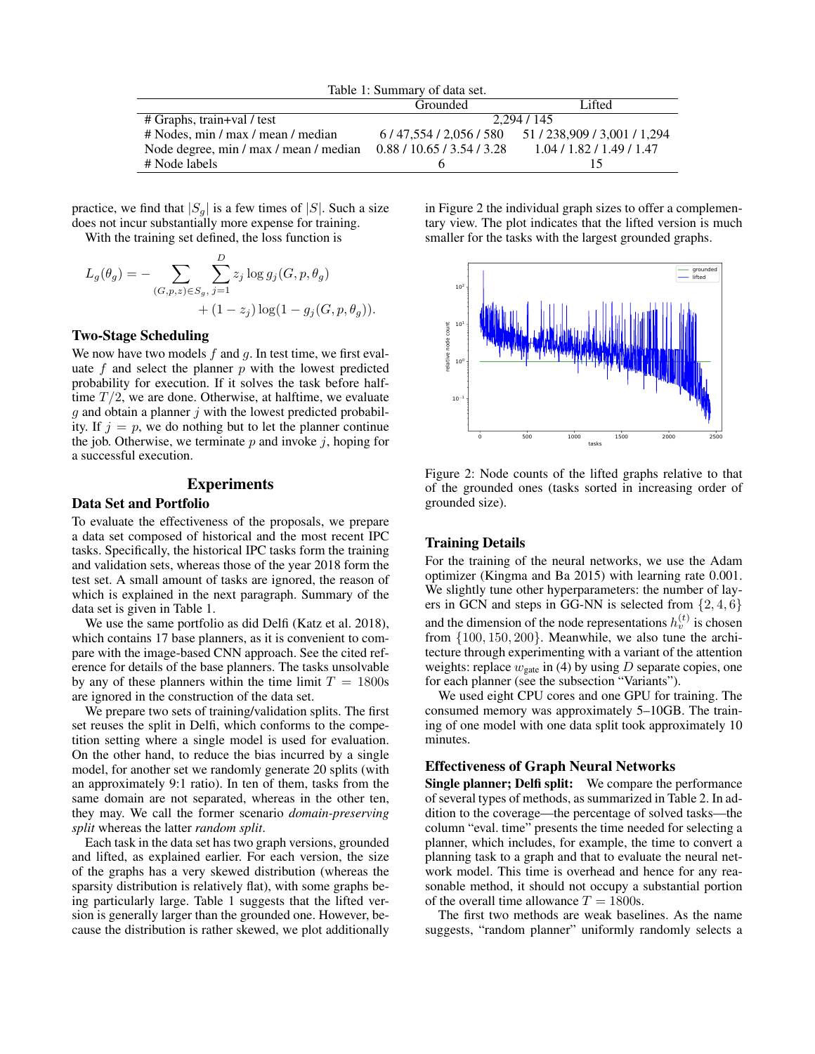| Table 1: Summary of data set.                                     |             |                                           |  |  |  |
|-------------------------------------------------------------------|-------------|-------------------------------------------|--|--|--|
|                                                                   | Grounded    | Lifted                                    |  |  |  |
| # Graphs, train+val / test                                        | 2.294 / 145 |                                           |  |  |  |
| # Nodes, min / max / mean / median                                |             | 6/47.554/2.056/580 51/238.909/3.001/1.294 |  |  |  |
| Node degree, min / max / mean / median 0.88 / 10.65 / 3.54 / 3.28 |             | 1.04/1.82/1.49/1.47                       |  |  |  |
| # Node labels                                                     | n           |                                           |  |  |  |

practice, we find that  $|S_g|$  is a few times of  $|S|$ . Such a size does not incur substantially more expense for training.

With the training set defined, the loss function is

$$
L_g(\theta_g) = - \sum_{(G, p, z) \in S_g, j=1} \sum_{j=1}^{D} z_j \log g_j(G, p, \theta_g) + (1 - z_j) \log(1 - g_j(G, p, \theta_g)).
$$

# Two-Stage Scheduling

We now have two models  $f$  and  $g$ . In test time, we first evaluate  $f$  and select the planner  $p$  with the lowest predicted probability for execution. If it solves the task before halftime  $T/2$ , we are done. Otherwise, at halftime, we evaluate  $g$  and obtain a planner  $j$  with the lowest predicted probability. If  $j = p$ , we do nothing but to let the planner continue the job. Otherwise, we terminate  $p$  and invoke  $i$ , hoping for a successful execution.

# Experiments

# Data Set and Portfolio

To evaluate the effectiveness of the proposals, we prepare a data set composed of historical and the most recent IPC tasks. Specifically, the historical IPC tasks form the training and validation sets, whereas those of the year 2018 form the test set. A small amount of tasks are ignored, the reason of which is explained in the next paragraph. Summary of the data set is given in Table 1.

We use the same portfolio as did Delfi (Katz et al. 2018), which contains 17 base planners, as it is convenient to compare with the image-based CNN approach. See the cited reference for details of the base planners. The tasks unsolvable by any of these planners within the time limit  $T = 1800$ s are ignored in the construction of the data set.

We prepare two sets of training/validation splits. The first set reuses the split in Delfi, which conforms to the competition setting where a single model is used for evaluation. On the other hand, to reduce the bias incurred by a single model, for another set we randomly generate 20 splits (with an approximately 9:1 ratio). In ten of them, tasks from the same domain are not separated, whereas in the other ten, they may. We call the former scenario *domain-preserving split* whereas the latter *random split*.

Each task in the data set has two graph versions, grounded and lifted, as explained earlier. For each version, the size of the graphs has a very skewed distribution (whereas the sparsity distribution is relatively flat), with some graphs being particularly large. Table 1 suggests that the lifted version is generally larger than the grounded one. However, because the distribution is rather skewed, we plot additionally in Figure 2 the individual graph sizes to offer a complementary view. The plot indicates that the lifted version is much smaller for the tasks with the largest grounded graphs.



Figure 2: Node counts of the lifted graphs relative to that of the grounded ones (tasks sorted in increasing order of grounded size).

### Training Details

For the training of the neural networks, we use the Adam optimizer (Kingma and Ba 2015) with learning rate 0.001. We slightly tune other hyperparameters: the number of layers in GCN and steps in GG-NN is selected from  $\{2, 4, 6\}$ and the dimension of the node representations  $h_v^{(t)}$  is chosen from {100, 150, 200}. Meanwhile, we also tune the architecture through experimenting with a variant of the attention weights: replace  $w_{\text{gate}}$  in (4) by using D separate copies, one for each planner (see the subsection "Variants").

We used eight CPU cores and one GPU for training. The consumed memory was approximately 5–10GB. The training of one model with one data split took approximately 10 minutes.

#### Effectiveness of Graph Neural Networks

Single planner; Delfi split: We compare the performance of several types of methods, as summarized in Table 2. In addition to the coverage—the percentage of solved tasks—the column "eval. time" presents the time needed for selecting a planner, which includes, for example, the time to convert a planning task to a graph and that to evaluate the neural network model. This time is overhead and hence for any reasonable method, it should not occupy a substantial portion of the overall time allowance  $T = 1800$ s.

The first two methods are weak baselines. As the name suggests, "random planner" uniformly randomly selects a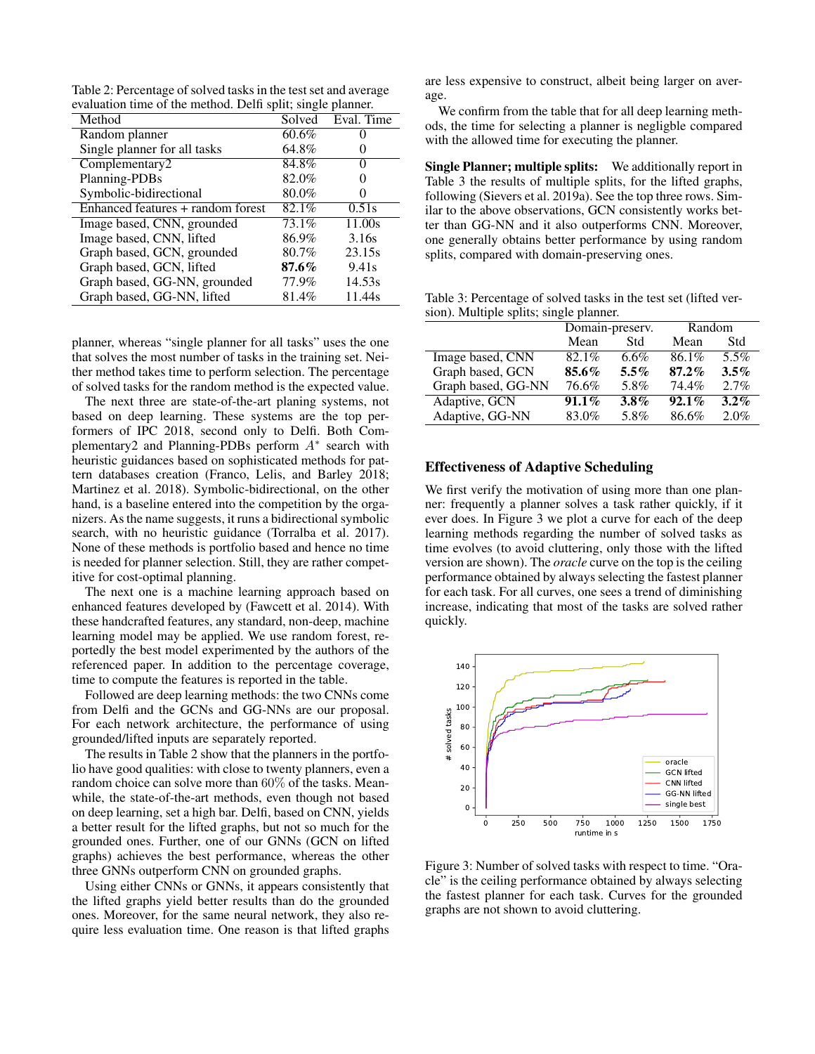Table 2: Percentage of solved tasks in the test set and average evaluation time of the method. Delfi split; single planner.

| Solved   | Eval. Time |
|----------|------------|
|          |            |
|          |            |
| 64.8%    |            |
| 84.8%    | 0          |
| 82.0%    |            |
| 80.0%    |            |
| 82.1%    | 0.51s      |
| 73.1%    | 11.00s     |
| 86.9%    | 3.16s      |
| 80.7%    | 23.15s     |
| $87.6\%$ | 9.41s      |
| 77.9%    | 14.53s     |
| 81.4%    | 11.44s     |
|          | 60.6%      |

planner, whereas "single planner for all tasks" uses the one that solves the most number of tasks in the training set. Neither method takes time to perform selection. The percentage of solved tasks for the random method is the expected value.

The next three are state-of-the-art planing systems, not based on deep learning. These systems are the top performers of IPC 2018, second only to Delfi. Both Complementary2 and Planning-PDBs perform  $A^*$  search with heuristic guidances based on sophisticated methods for pattern databases creation (Franco, Lelis, and Barley 2018; Martinez et al. 2018). Symbolic-bidirectional, on the other hand, is a baseline entered into the competition by the organizers. As the name suggests, it runs a bidirectional symbolic search, with no heuristic guidance (Torralba et al. 2017). None of these methods is portfolio based and hence no time is needed for planner selection. Still, they are rather competitive for cost-optimal planning.

The next one is a machine learning approach based on enhanced features developed by (Fawcett et al. 2014). With these handcrafted features, any standard, non-deep, machine learning model may be applied. We use random forest, reportedly the best model experimented by the authors of the referenced paper. In addition to the percentage coverage, time to compute the features is reported in the table.

Followed are deep learning methods: the two CNNs come from Delfi and the GCNs and GG-NNs are our proposal. For each network architecture, the performance of using grounded/lifted inputs are separately reported.

The results in Table 2 show that the planners in the portfolio have good qualities: with close to twenty planners, even a random choice can solve more than 60% of the tasks. Meanwhile, the state-of-the-art methods, even though not based on deep learning, set a high bar. Delfi, based on CNN, yields a better result for the lifted graphs, but not so much for the grounded ones. Further, one of our GNNs (GCN on lifted graphs) achieves the best performance, whereas the other three GNNs outperform CNN on grounded graphs.

Using either CNNs or GNNs, it appears consistently that the lifted graphs yield better results than do the grounded ones. Moreover, for the same neural network, they also require less evaluation time. One reason is that lifted graphs

are less expensive to construct, albeit being larger on average.

We confirm from the table that for all deep learning methods, the time for selecting a planner is negligble compared with the allowed time for executing the planner.

Single Planner; multiple splits: We additionally report in Table 3 the results of multiple splits, for the lifted graphs, following (Sievers et al. 2019a). See the top three rows. Similar to the above observations, GCN consistently works better than GG-NN and it also outperforms CNN. Moreover, one generally obtains better performance by using random splits, compared with domain-preserving ones.

Table 3: Percentage of solved tasks in the test set (lifted version). Multiple splits; single planner.

|                    | Domain-preserv. |         | Random   |         |
|--------------------|-----------------|---------|----------|---------|
|                    | Mean            | Std     | Mean     | Std     |
| Image based, CNN   | 82.1%           | $6.6\%$ | 86.1%    | 5.5%    |
| Graph based, GCN   | 85.6%           | $5.5\%$ | $87.2\%$ | $3.5\%$ |
| Graph based, GG-NN | 76.6%           | 5.8%    | 74.4%    | 2.7%    |
| Adaptive, GCN      | $91.1\%$        | $3.8\%$ | $92.1\%$ | $3.2\%$ |
| Adaptive, GG-NN    | 83.0%           | 5.8%    | 86.6%    | 2.0%    |

# Effectiveness of Adaptive Scheduling

We first verify the motivation of using more than one planner: frequently a planner solves a task rather quickly, if it ever does. In Figure 3 we plot a curve for each of the deep learning methods regarding the number of solved tasks as time evolves (to avoid cluttering, only those with the lifted version are shown). The *oracle* curve on the top is the ceiling performance obtained by always selecting the fastest planner for each task. For all curves, one sees a trend of diminishing increase, indicating that most of the tasks are solved rather quickly.



Figure 3: Number of solved tasks with respect to time. "Oracle" is the ceiling performance obtained by always selecting the fastest planner for each task. Curves for the grounded graphs are not shown to avoid cluttering.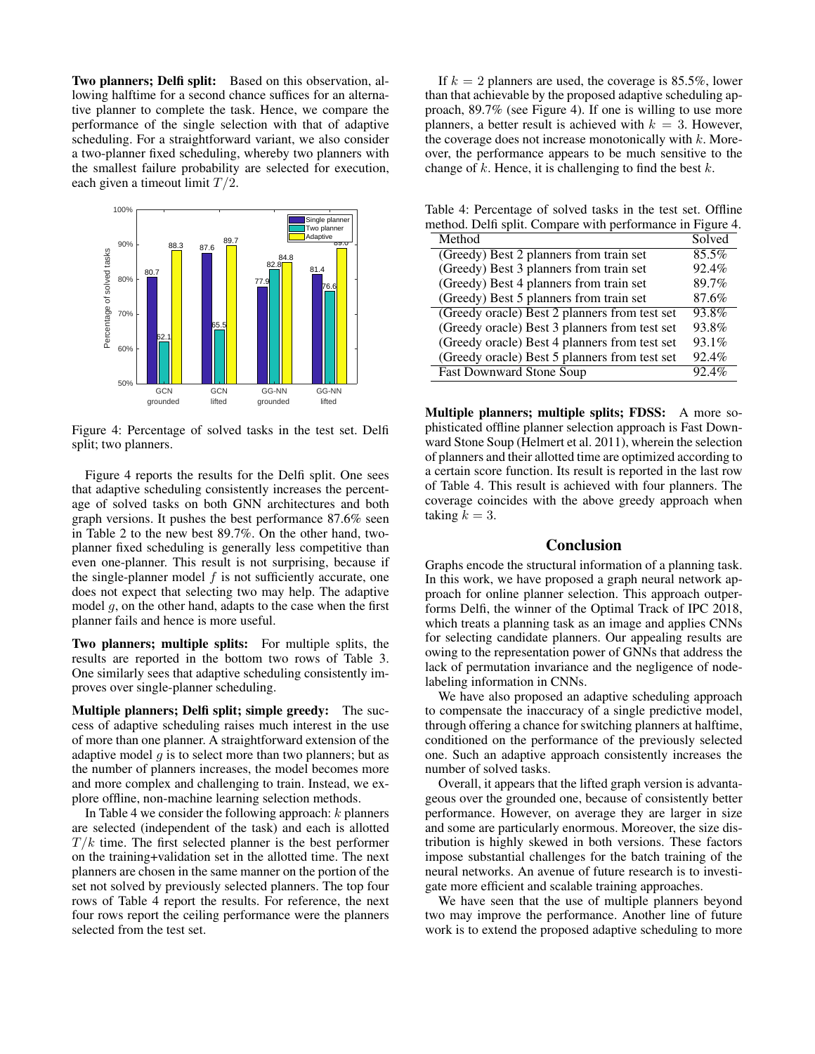Two planners; Delfi split: Based on this observation, allowing halftime for a second chance suffices for an alternative planner to complete the task. Hence, we compare the performance of the single selection with that of adaptive scheduling. For a straightforward variant, we also consider a two-planner fixed scheduling, whereby two planners with the smallest failure probability are selected for execution, each given a timeout limit  $T/2$ .



Figure 4: Percentage of solved tasks in the test set. Delfi split; two planners.

Figure 4 reports the results for the Delfi split. One sees that adaptive scheduling consistently increases the percentage of solved tasks on both GNN architectures and both graph versions. It pushes the best performance 87.6% seen in Table 2 to the new best 89.7%. On the other hand, twoplanner fixed scheduling is generally less competitive than even one-planner. This result is not surprising, because if the single-planner model  $f$  is not sufficiently accurate, one does not expect that selecting two may help. The adaptive model  $q$ , on the other hand, adapts to the case when the first planner fails and hence is more useful.

Two planners; multiple splits: For multiple splits, the results are reported in the bottom two rows of Table 3. One similarly sees that adaptive scheduling consistently improves over single-planner scheduling.

Multiple planners; Delfi split; simple greedy: The success of adaptive scheduling raises much interest in the use of more than one planner. A straightforward extension of the adaptive model  $q$  is to select more than two planners; but as the number of planners increases, the model becomes more and more complex and challenging to train. Instead, we explore offline, non-machine learning selection methods.

In Table 4 we consider the following approach:  $k$  planners are selected (independent of the task) and each is allotted  $T/k$  time. The first selected planner is the best performer on the training+validation set in the allotted time. The next planners are chosen in the same manner on the portion of the set not solved by previously selected planners. The top four rows of Table 4 report the results. For reference, the next four rows report the ceiling performance were the planners selected from the test set.

If  $k = 2$  planners are used, the coverage is 85.5%, lower than that achievable by the proposed adaptive scheduling approach, 89.7% (see Figure 4). If one is willing to use more planners, a better result is achieved with  $k = 3$ . However, the coverage does not increase monotonically with  $k$ . Moreover, the performance appears to be much sensitive to the change of  $k$ . Hence, it is challenging to find the best  $k$ .

Table 4: Percentage of solved tasks in the test set. Offline method. Delfi split. Compare with performance in Figure 4.

| Method                                        | Solved |
|-----------------------------------------------|--------|
| (Greedy) Best 2 planners from train set       | 85.5%  |
| (Greedy) Best 3 planners from train set       | 92.4%  |
| (Greedy) Best 4 planners from train set       | 89.7%  |
| (Greedy) Best 5 planners from train set       | 87.6%  |
| (Greedy oracle) Best 2 planners from test set | 93.8%  |
| (Greedy oracle) Best 3 planners from test set | 93.8%  |
| (Greedy oracle) Best 4 planners from test set | 93.1%  |
| (Greedy oracle) Best 5 planners from test set | 92.4%  |
| <b>Fast Downward Stone Soup</b>               | 92.4%  |

Multiple planners; multiple splits; FDSS: A more sophisticated offline planner selection approach is Fast Downward Stone Soup (Helmert et al. 2011), wherein the selection of planners and their allotted time are optimized according to a certain score function. Its result is reported in the last row of Table 4. This result is achieved with four planners. The coverage coincides with the above greedy approach when taking  $k = 3$ .

### Conclusion

Graphs encode the structural information of a planning task. In this work, we have proposed a graph neural network approach for online planner selection. This approach outperforms Delfi, the winner of the Optimal Track of IPC 2018, which treats a planning task as an image and applies CNNs for selecting candidate planners. Our appealing results are owing to the representation power of GNNs that address the lack of permutation invariance and the negligence of nodelabeling information in CNNs.

We have also proposed an adaptive scheduling approach to compensate the inaccuracy of a single predictive model, through offering a chance for switching planners at halftime, conditioned on the performance of the previously selected one. Such an adaptive approach consistently increases the number of solved tasks.

Overall, it appears that the lifted graph version is advantageous over the grounded one, because of consistently better performance. However, on average they are larger in size and some are particularly enormous. Moreover, the size distribution is highly skewed in both versions. These factors impose substantial challenges for the batch training of the neural networks. An avenue of future research is to investigate more efficient and scalable training approaches.

We have seen that the use of multiple planners beyond two may improve the performance. Another line of future work is to extend the proposed adaptive scheduling to more